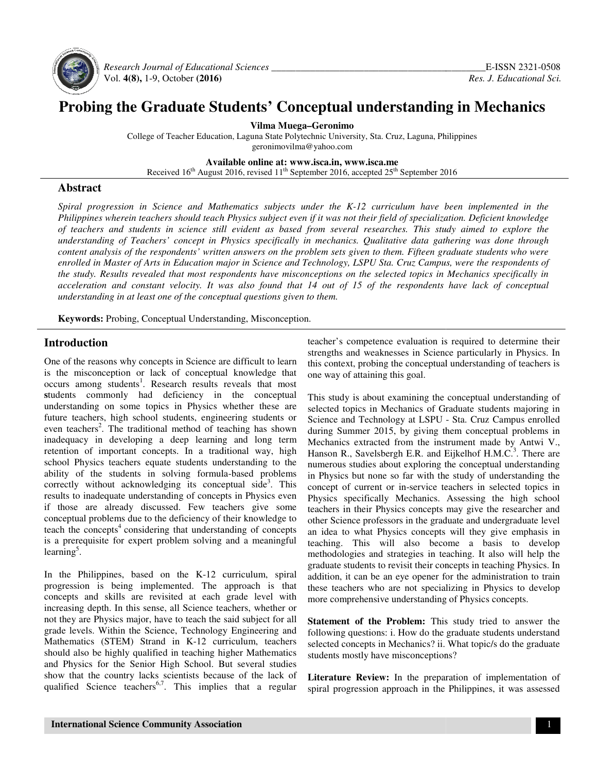

 *Research Journal of Educational Educational Sciences \_\_\_\_\_\_\_\_\_\_\_\_\_\_\_\_\_\_\_\_\_\_\_\_\_\_\_\_\_\_\_\_\_\_\_\_\_\_* Vol. **4(8),** 1-9, October **(2016)**

# **Probing the Graduate Students' Conceptual understanding in Mechanics Probing the Students' Conceptual**

**Vilma Muega–Geronimo** 

College of Teacher Education, Laguna State Polytechnic University, Sta. Cruz, Laguna, Philippines<br>geronimovilma@yahoo.com

**Available Available online at: www.isca.in, www.isca.me** 

Received  $16<sup>th</sup>$  August 2016, revised  $11<sup>th</sup>$  September 2016, accepted  $25<sup>th</sup>$  September 2016

#### **Abstract**

*Spiral progression in Science and Mathematics Mathematics subjects under the K-12 curriculum have been been implemented in the*  Philippines wherein teachers should teach Physics subject even if it was not their field of specialization. Deficient knowledge of teachers and students in science still evident as based from several researches. This study aimed to explore the *understanding of Teachers' concept in Physics Physics specifically in mechanics. Qualitative data gathering gathering was done through content analysis of the respondents' written answers on the problem sets given to them. Fifteen graduate students who were* enrolled in Master of Arts in Education major in Science and Technology, LSPU Sta. Cruz Campus, were the respondents of the study. Results revealed that most respondents have misconceptions on the selected topics in Mechanics specifically in acceleration and constant velocity. It was also found that 14 out of 15 of the respondents have lack of conceptual *understanding in at least one of the conceptual questions given to them.* 

**Keywords:** Probing, Conceptual Understanding, Misconception.

# **Introduction**

One of the reasons why concepts in Science are difficult to learn is the misconception or lack of conceptual knowledge that occurs among students<sup>1</sup>. Research results reveals that most **s**tudents commonly had deficiency in the conceptual understanding on some topics in Physics whether these are future teachers, high school students, engineering students or even teachers<sup>2</sup>. The traditional method of teaching has shown inadequacy in developing a deep learning and long term retention of important concepts. In a traditional way, high school Physics teachers equate students understanding to the ability of the students in solving formula-based problems correctly without acknowledging its conceptual side<sup>3</sup>. This results to inadequate understanding of concepts in Physics even if those are already discussed. Few teachers give some conceptual problems due to the deficiency of their knowledge to teach the concepts<sup>4</sup> considering that understanding of concepts is a prerequisite for expert problem solving and a meaningful learning<sup>5</sup>. One of the reasons why concepts in Science are difficult to learn<br>is the misconception or lack of conceptual knowledge that<br>occurs among students<sup>1</sup>. Research results reveals that most<br>students commonly had deficiency in t

In the Philippines, based on the K-12 curriculum, spiral progression is being implemented. The approach is that concepts and skills are revisited at each grade level with increasing depth. In this sense, all Science teachers, whether or not they are Physics major, have to teach the said subject for all grade levels. Within the Science, Technology Engineering and Mathematics (STEM) Strand in K-12 curriculum, teachers should also be highly qualified in teaching higher Mathematics and Physics for the Senior High School. But several studies show that the country lacks scientists because of the lack of qualified Science teachers<sup>6,7</sup>. This implies that a regular strengths and weaknesses in Science particularly in Physics. In this context, probing the conceptual understanding of teachers is one way of attaining this goal. strengths and weaknesses in Science particularly in Physics. In<br>this context, probing the conceptual understanding of teachers is<br>one way of attaining this goal.<br>This study is about examining the conceptual understanding o

Introduction<br>
In the reasons why concepts in Science are difficult to learn is since my dones is calculated in this concept<br>
is the misconception or lack of conceptual knowledge that one way of athining this conceptual und selected topics in Mechanics of Graduate students majoring in selected topics in Mechanics of Graduate students majoring in<br>Science and Technology at LSPU - Sta. Cruz Campus enrolled during Summer 2015, by giving them conceptual problems in during Summer 2015, by giving them conceptual problems in Mechanics extracted from the instrument made by Antwi V., Hanson R., Savelsbergh E.R. and Eijkelhof H.M.C.<sup>3</sup>. There are numerous studies about exploring the conceptual understanding in Physics but none so far with the study of understanding the concept of current or in-service teachers in selected topics in Physics specifically Mechanics. Assessing the high school teachers in their Physics concepts may give the researcher and other Science professors in the graduate and undergraduate level an idea to what Physics concepts will they give emphasis in teaching. This will also become methodologies and strategies in teaching. It also will help the graduate students to revisit their concepts in teaching Physics. In addition, it can be an eye opener for the administration to train these teachers who are n graduate students to revisit their concepts in teaching Physics. In addition, it can be an eye opener for the administration to train these teachers who are not specializing in Physics to develop more comprehensive understanding of Physics concepts. none so far with the study of understanding the<br>rent or in-service teachers in selected topics in<br>ically Mechanics. Assessing the high school teachers in their Physics concepts may give the researcher and<br>other Science professors in the graduate and undergraduate level<br>an idea to what Physics concepts will they give emphasis in<br>teaching. This will also become a

**Statement of the Problem:** This study tried to answer the following questions: i. How do the graduate students understand selected concepts in Mechanics? ii. What topic/s do the graduate students mostly have misconceptions? more comprehensive understanding of Physics concepts.<br> **Statement of the Problem:** This study tried to answer the<br>
following questions: i. How do the graduate students understand<br>
selected concepts in Mechanics? ii. What t

**Literature Review:** In the preparation of implementation of students mostly have misconceptions?<br> **Literature Review:** In the preparation of implementation of<br>
spiral progression approach in the Philippines, it was assessed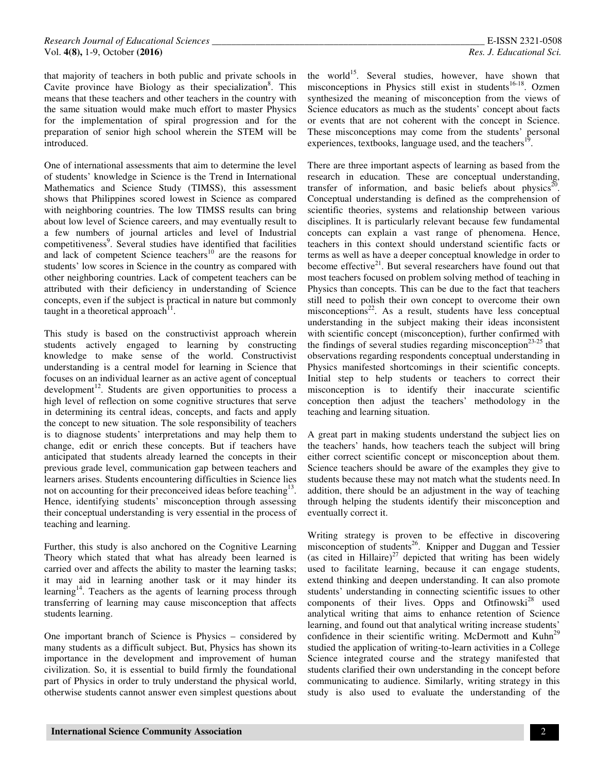that majority of teachers in both public and private schools in Cavite province have Biology as their specialization<sup>8</sup>. This means that these teachers and other teachers in the country with the same situation would make much effort to master Physics for the implementation of spiral progression and for the preparation of senior high school wherein the STEM will be introduced.

One of international assessments that aim to determine the level of students' knowledge in Science is the Trend in International Mathematics and Science Study (TIMSS), this assessment shows that Philippines scored lowest in Science as compared with neighboring countries. The low TIMSS results can bring about low level of Science careers, and may eventually result to a few numbers of journal articles and level of Industrial competitiveness<sup>9</sup>. Several studies have identified that facilities and lack of competent Science teachers<sup>10</sup> are the reasons for students' low scores in Science in the country as compared with other neighboring countries. Lack of competent teachers can be attributed with their deficiency in understanding of Science concepts, even if the subject is practical in nature but commonly taught in a theoretical approach<sup>11</sup>.

This study is based on the constructivist approach wherein students actively engaged to learning by constructing knowledge to make sense of the world. Constructivist understanding is a central model for learning in Science that focuses on an individual learner as an active agent of conceptual development<sup>12</sup>. Students are given opportunities to process a high level of reflection on some cognitive structures that serve in determining its central ideas, concepts, and facts and apply the concept to new situation. The sole responsibility of teachers is to diagnose students' interpretations and may help them to change, edit or enrich these concepts. But if teachers have anticipated that students already learned the concepts in their previous grade level, communication gap between teachers and learners arises. Students encountering difficulties in Science lies not on accounting for their preconceived ideas before teaching<sup>13</sup>. Hence, identifying students' misconception through assessing their conceptual understanding is very essential in the process of teaching and learning.

Further, this study is also anchored on the Cognitive Learning Theory which stated that what has already been learned is carried over and affects the ability to master the learning tasks; it may aid in learning another task or it may hinder its learning<sup>14</sup>. Teachers as the agents of learning process through transferring of learning may cause misconception that affects students learning.

One important branch of Science is Physics – considered by many students as a difficult subject. But, Physics has shown its importance in the development and improvement of human civilization. So, it is essential to build firmly the foundational part of Physics in order to truly understand the physical world, otherwise students cannot answer even simplest questions about

the world<sup>15</sup>. Several studies, however, have shown that misconceptions in Physics still exist in students<sup>16-18</sup>. Ozmen synthesized the meaning of misconception from the views of Science educators as much as the students' concept about facts or events that are not coherent with the concept in Science. These misconceptions may come from the students' personal experiences, textbooks, language used, and the teachers<sup>1</sup> .

There are three important aspects of learning as based from the research in education. These are conceptual understanding, transfer of information, and basic beliefs about physics<sup>20</sup>. Conceptual understanding is defined as the comprehension of scientific theories, systems and relationship between various disciplines. It is particularly relevant because few fundamental concepts can explain a vast range of phenomena. Hence, teachers in this context should understand scientific facts or terms as well as have a deeper conceptual knowledge in order to become effective $2^1$ . But several researchers have found out that most teachers focused on problem solving method of teaching in Physics than concepts. This can be due to the fact that teachers still need to polish their own concept to overcome their own misconceptions $2^2$ . As a result, students have less conceptual understanding in the subject making their ideas inconsistent with scientific concept (misconception), further confirmed with the findings of several studies regarding misconception<sup>23-25</sup> that observations regarding respondents conceptual understanding in Physics manifested shortcomings in their scientific concepts. Initial step to help students or teachers to correct their misconception is to identify their inaccurate scientific conception then adjust the teachers' methodology in the teaching and learning situation.

A great part in making students understand the subject lies on the teachers' hands, how teachers teach the subject will bring either correct scientific concept or misconception about them. Science teachers should be aware of the examples they give to students because these may not match what the students need. In addition, there should be an adjustment in the way of teaching through helping the students identify their misconception and eventually correct it.

Writing strategy is proven to be effective in discovering misconception of students<sup>26</sup>. Knipper and Duggan and Tessier (as cited in Hillaire) $^{27}$  depicted that writing has been widely used to facilitate learning, because it can engage students, extend thinking and deepen understanding. It can also promote students' understanding in connecting scientific issues to other components of their lives. Opps and Otfinowski<sup>28</sup> used analytical writing that aims to enhance retention of Science learning, and found out that analytical writing increase students' confidence in their scientific writing. McDermott and  $Kuhn<sup>29</sup>$ studied the application of writing-to-learn activities in a College Science integrated course and the strategy manifested that students clarified their own understanding in the concept before communicating to audience. Similarly, writing strategy in this study is also used to evaluate the understanding of the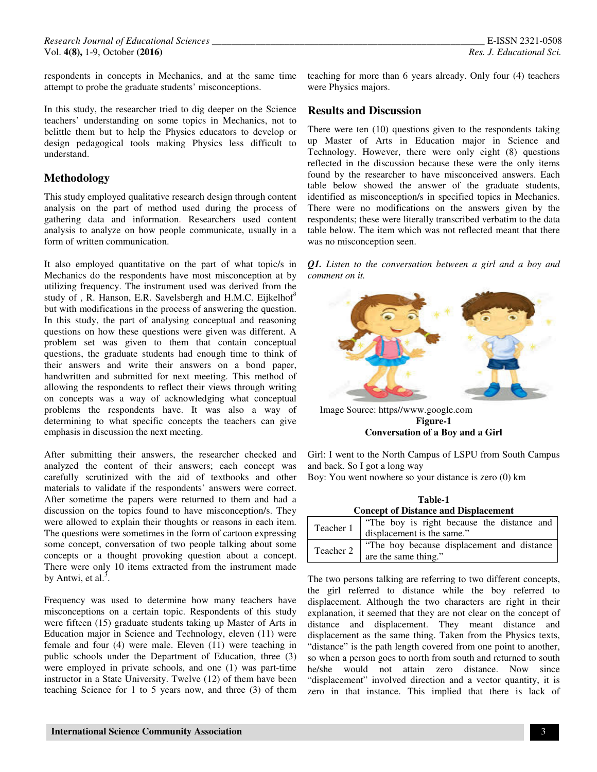respondents in concepts in Mechanics, and at the same time attempt to probe the graduate students' misconceptions.

In this study, the researcher tried to dig deeper on the Science teachers' understanding on some topics in Mechanics, not to belittle them but to help the Physics educators to develop or design pedagogical tools making Physics less difficult to understand.

### **Methodology**

This study employed qualitative research design through content analysis on the part of method used during the process of gathering data and information. Researchers used content analysis to analyze on how people communicate, usually in a form of written communication.

It also employed quantitative on the part of what topic/s in Mechanics do the respondents have most misconception at by utilizing frequency. The instrument used was derived from the study of , R. Hanson, E.R. Savelsbergh and H.M.C. Eijkelhof $3$ but with modifications in the process of answering the question. In this study, the part of analysing conceptual and reasoning questions on how these questions were given was different. A problem set was given to them that contain conceptual questions, the graduate students had enough time to think of their answers and write their answers on a bond paper, handwritten and submitted for next meeting. This method of allowing the respondents to reflect their views through writing on concepts was a way of acknowledging what conceptual problems the respondents have. It was also a way of determining to what specific concepts the teachers can give emphasis in discussion the next meeting.

After submitting their answers, the researcher checked and analyzed the content of their answers; each concept was carefully scrutinized with the aid of textbooks and other materials to validate if the respondents' answers were correct. After sometime the papers were returned to them and had a discussion on the topics found to have misconception/s. They were allowed to explain their thoughts or reasons in each item. The questions were sometimes in the form of cartoon expressing some concept, conversation of two people talking about some concepts or a thought provoking question about a concept. There were only 10 items extracted from the instrument made by Antwi, et al. $3$ .

Frequency was used to determine how many teachers have misconceptions on a certain topic. Respondents of this study were fifteen (15) graduate students taking up Master of Arts in Education major in Science and Technology, eleven (11) were female and four (4) were male. Eleven (11) were teaching in public schools under the Department of Education, three (3) were employed in private schools, and one (1) was part-time instructor in a State University. Twelve (12) of them have been teaching Science for 1 to 5 years now, and three (3) of them

teaching for more than 6 years already. Only four (4) teachers were Physics majors.

#### **Results and Discussion**

There were ten (10) questions given to the respondents taking up Master of Arts in Education major in Science and Technology. However, there were only eight (8) questions reflected in the discussion because these were the only items found by the researcher to have misconceived answers. Each table below showed the answer of the graduate students, identified as misconception/s in specified topics in Mechanics. There were no modifications on the answers given by the respondents; these were literally transcribed verbatim to the data table below. The item which was not reflected meant that there was no misconception seen.

*Q1. Listen to the conversation between a girl and a boy and comment on it.* 



 Image Source: https//www.google.com **Figure-1 Conversation of a Boy and a Girl** 

Girl: I went to the North Campus of LSPU from South Campus and back. So I got a long way

Boy: You went nowhere so your distance is zero (0) km

| Table-1                                     |
|---------------------------------------------|
| <b>Concept of Distance and Displacement</b> |
|                                             |

| Teacher 1 | "The boy is right because the distance and<br>displacement is the same." |
|-----------|--------------------------------------------------------------------------|
| Teacher 2 | "The boy because displacement and distance"<br>are the same thing."      |

The two persons talking are referring to two different concepts, the girl referred to distance while the boy referred to displacement. Although the two characters are right in their explanation, it seemed that they are not clear on the concept of distance and displacement. They meant distance and displacement as the same thing. Taken from the Physics texts, "distance" is the path length covered from one point to another, so when a person goes to north from south and returned to south he/she would not attain zero distance. Now since "displacement" involved direction and a vector quantity, it is zero in that instance. This implied that there is lack of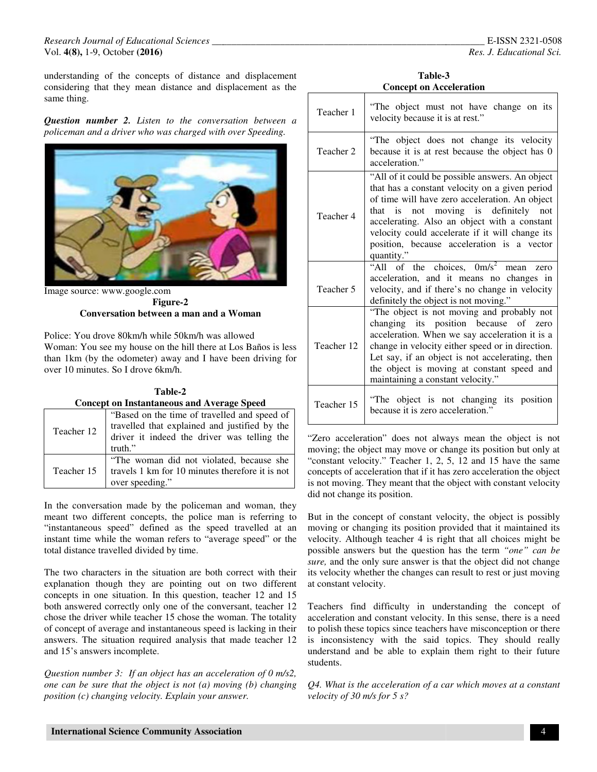#### *Research Journal of Educational Sciences \_\_\_\_\_\_\_\_\_\_\_\_\_\_\_\_\_\_\_\_\_\_\_\_\_\_\_\_\_\_\_\_\_\_\_\_\_\_\_\_\_\_\_\_\_\_\_\_\_\_\_* Vol. **4(8),** 1-9, October **(2016)**  *\_\_\_\_\_\_\_\_\_\_\_\_\_\_\_\_\_\_\_\_\_\_\_\_\_\_\_\_\_\_\_\_\_\_\_\_\_\_\_\_\_\_\_\_\_\_\_\_\_\_\_*

understanding of the concepts of distance and displacement considering that they mean distance and displacement as the considering that they mean distance and displacement as the same thing.

*Question number 2. Listen to the conversation between a*  policeman and a driver who was charged with over Speeding.



Image source: www.google.com **Figure-2 Conversation between a man and a Woman** 

Police: You drove 80km/h while 50km/h was allowed Police: You drove 80km/h while 50km/h was allowed<br>Woman: You see my house on the hill there at Los Baños is less over 10 minutes. So I drove 6km/h.

|                                                   | than 1km (by the odometer) away and I have been driving for |  |
|---------------------------------------------------|-------------------------------------------------------------|--|
| over 10 minutes. So I drove 6km/h.                |                                                             |  |
|                                                   |                                                             |  |
|                                                   | Table-2                                                     |  |
| <b>Concept on Instantaneous and Average Speed</b> |                                                             |  |
|                                                   | "Based on the time of travelled and speed of                |  |
| $T_{\text{coobon}}$ 12                            | travelled that explained and justified by the               |  |

| Teacher 12 | travelled that explained and justified by the<br>driver it indeed the driver was telling the<br>truth."        |
|------------|----------------------------------------------------------------------------------------------------------------|
| Teacher 15 | "The woman did not violated, because she<br>travels 1 km for 10 minutes therefore it is not<br>over speeding." |

In the conversation made by the policeman and woman, they meant two different concepts, the police man is referring to "instantaneous speed" defined as the speed travelled at an instant time while the woman refers to "average speed" or the total distance travelled divided by time.

The two characters in the situation are both correct with their explanation though they are pointing out on two different concepts in one situation. In this question, teacher 12 and 15 both answered correctly only one of the conversant, teacher 12 chose the driver while teacher 15 chose the woman. The totality of concept of average and instantaneous speed is lacking in their answers. The situation required analysis that made teacher 12 and 15's answers incomplete. The woman did not violated, because shere the different travels 1 km for 10 minutes therefore it is no over speeding."<br>
In the conversation made by the police man is referring "instantaneous speed" defined as the speed tra

*Question number 3: If an object has an acceleration of 0 m/s2, one can be sure that the object is not (a) moving (b) changing position (c) changing velocity. Explain your answer. a* object has an acceleration of 0<br>object is not (a) moving (b) cha.<br>city. Explain your answer.

**Table-3 3Concept on Acceleration**

| Teacher 1                                                                                                                                                                                                                                                             | "The object must not have change on its<br>velocity because it is at rest."                                                                                                                                                                                                                                                                                |
|-----------------------------------------------------------------------------------------------------------------------------------------------------------------------------------------------------------------------------------------------------------------------|------------------------------------------------------------------------------------------------------------------------------------------------------------------------------------------------------------------------------------------------------------------------------------------------------------------------------------------------------------|
| Teacher 2                                                                                                                                                                                                                                                             | "The object does not change its velocity<br>because it is at rest because the object has 0<br>acceleration."                                                                                                                                                                                                                                               |
| Teacher 4                                                                                                                                                                                                                                                             | "All of it could be possible answers. An object<br>that has a constant velocity on a given period<br>of time will have zero acceleration. An object<br>that is not moving is definitely not<br>accelerating. Also an object with a constant<br>velocity could accelerate if it will change its<br>position, because acceleration is a vector<br>quantity." |
| Teacher 5                                                                                                                                                                                                                                                             | "All of the choices, 0m/s <sup>2</sup> mean<br>zero<br>acceleration, and it means no changes in<br>velocity, and if there's no change in velocity<br>definitely the object is not moving."                                                                                                                                                                 |
| Teacher 12                                                                                                                                                                                                                                                            | "The object is not moving and probably not<br>changing its position because of zero<br>acceleration. When we say acceleration it is a<br>change in velocity either speed or in direction.<br>Let say, if an object is not accelerating, then<br>the object is moving at constant speed and<br>maintaining a constant velocity."                            |
| Teacher 15                                                                                                                                                                                                                                                            | "The object is not changing its position<br>because it is zero acceleration."                                                                                                                                                                                                                                                                              |
| "Zero acceleration" does not always mean the object is not<br>moving; the object may move or change its position but only at<br>"constant velocity." Teacher 1, 2, 5, 12 and 15 have the same<br>concepts of acceleration that if it has zero acceleration the object |                                                                                                                                                                                                                                                                                                                                                            |

"Zero acceleration" does not always mean the object is not moving; the object may move or change its position but only at "constant velocity." Teacher 1, 2, 5, 12 and 15 have the same is not moving. They meant that the object with constant velocity did not change its position.

But in the concept of constant velocity, the object is possibly moving or changing its position provided that it maintained its velocity. Although teacher 4 is right that all choices might be possible answers but the question has the term "one" can be *sure,* and the only sure answer is that the object did not change its velocity whether the changes can result to rest or just moving at constant velocity. But in the concept of constant velocity, the object is possibly moving or changing its position provided that it maintained its velocity. Although teacher 4 is right that all choices might be possible answers but the quest

Teachers find difficulty in understanding the concept of acceleration and constant velocity. In this sense, there is a need to polish these topics since teachers have misconception or there is inconsistency with the said topics. They should really understand and be able to explain them right to their future students. sure, and the only sure answer is that the object did not chaits velocity whether the changes can result to rest or just mov<br>at constant velocity.<br>Teachers find difficulty in understanding the concept<br>acceleration and cons

*Q4. What is the acceleration of a car which moves at a constant velocity of 30 m/s for 5 s?*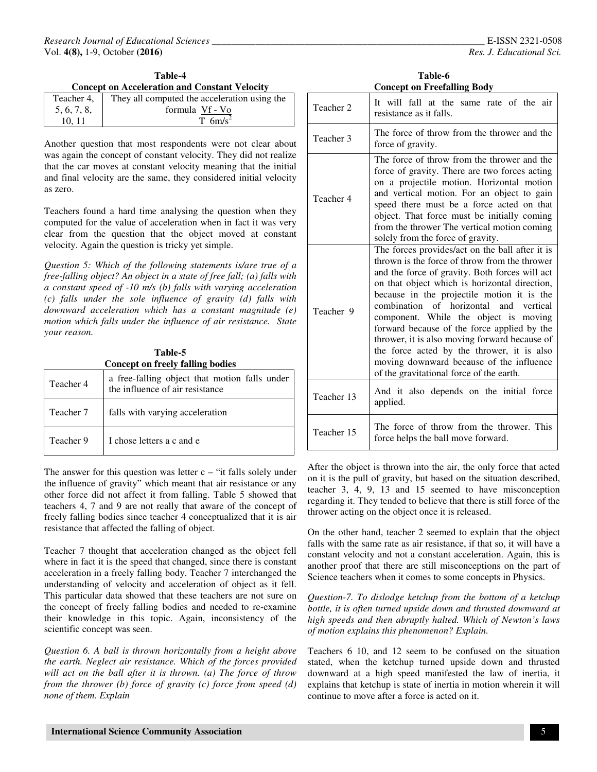| Teacher 4.  | They all computed the acceleration using the |
|-------------|----------------------------------------------|
| 5, 6, 7, 8, | formula Vf - Vo                              |
| 10.11       | $T$ 6m/s <sup>2</sup>                        |

Another question that most respondents were not clear about was again the concept of constant velocity. They did not realize that the car moves at constant velocity meaning that the initial and final velocity are the same, they considered initial velocity as zero.

Teachers found a hard time analysing the question when they computed for the value of acceleration when in fact it was very clear from the question that the object moved at constant velocity. Again the question is tricky yet simple.

*Question 5: Which of the following statements is/are true of a free-falling object? An object in a state of free fall; (a) falls with a constant speed of -10 m/s (b) falls with varying acceleration (c) falls under the sole influence of gravity (d) falls with downward acceleration which has a constant magnitude (e) motion which falls under the influence of air resistance. State your reason.* 

| Table-5<br><b>Concept on freely falling bodies</b> |                                                                                  |  |
|----------------------------------------------------|----------------------------------------------------------------------------------|--|
| Teacher 4                                          | a free-falling object that motion falls under<br>the influence of air resistance |  |
| Teacher 7                                          | falls with varying acceleration                                                  |  |
| Teacher 9                                          | I chose letters a c and e                                                        |  |

The answer for this question was letter  $c -$  "it falls solely under the influence of gravity" which meant that air resistance or any other force did not affect it from falling. Table 5 showed that teachers 4, 7 and 9 are not really that aware of the concept of freely falling bodies since teacher 4 conceptualized that it is air resistance that affected the falling of object.

Teacher 7 thought that acceleration changed as the object fell where in fact it is the speed that changed, since there is constant acceleration in a freely falling body. Teacher 7 interchanged the understanding of velocity and acceleration of object as it fell. This particular data showed that these teachers are not sure on the concept of freely falling bodies and needed to re-examine their knowledge in this topic. Again, inconsistency of the scientific concept was seen.

*Question 6. A ball is thrown horizontally from a height above the earth. Neglect air resistance. Which of the forces provided will act on the ball after it is thrown. (a) The force of throw from the thrower (b) force of gravity (c) force from speed (d) none of them. Explain* 

| Table-6                            |  |  |  |  |
|------------------------------------|--|--|--|--|
| <b>Concept on Freefalling Body</b> |  |  |  |  |

| Teacher 2            | It will fall at the same rate of the air<br>resistance as it falls.                                                                                                                                                                                                                                                                                                                                                                                                                                                                                                        |
|----------------------|----------------------------------------------------------------------------------------------------------------------------------------------------------------------------------------------------------------------------------------------------------------------------------------------------------------------------------------------------------------------------------------------------------------------------------------------------------------------------------------------------------------------------------------------------------------------------|
| Teacher 3            | The force of throw from the thrower and the<br>force of gravity.                                                                                                                                                                                                                                                                                                                                                                                                                                                                                                           |
| Teacher 4            | The force of throw from the thrower and the<br>force of gravity. There are two forces acting<br>on a projectile motion. Horizontal motion<br>and vertical motion. For an object to gain<br>speed there must be a force acted on that<br>object. That force must be initially coming<br>from the thrower The vertical motion coming<br>solely from the force of gravity.                                                                                                                                                                                                    |
| Teacher <sub>9</sub> | The forces provides/act on the ball after it is<br>thrown is the force of throw from the thrower<br>and the force of gravity. Both forces will act<br>on that object which is horizontal direction,<br>because in the projectile motion it is the<br>combination of horizontal and vertical<br>component. While the object is moving<br>forward because of the force applied by the<br>thrower, it is also moving forward because of<br>the force acted by the thrower, it is also<br>moving downward because of the influence<br>of the gravitational force of the earth. |
| Teacher 13           | And it also depends on the initial force<br>applied.                                                                                                                                                                                                                                                                                                                                                                                                                                                                                                                       |
| Teacher 15           | The force of throw from the thrower. This<br>force helps the ball move forward.                                                                                                                                                                                                                                                                                                                                                                                                                                                                                            |

After the object is thrown into the air, the only force that acted on it is the pull of gravity, but based on the situation described, teacher 3, 4, 9, 13 and 15 seemed to have misconception regarding it. They tended to believe that there is still force of the thrower acting on the object once it is released.

On the other hand, teacher 2 seemed to explain that the object falls with the same rate as air resistance, if that so, it will have a constant velocity and not a constant acceleration. Again, this is another proof that there are still misconceptions on the part of Science teachers when it comes to some concepts in Physics.

*Question-7. To dislodge ketchup from the bottom of a ketchup bottle, it is often turned upside down and thrusted downward at high speeds and then abruptly halted. Which of Newton's laws of motion explains this phenomenon? Explain.* 

Teachers 6 10, and 12 seem to be confused on the situation stated, when the ketchup turned upside down and thrusted downward at a high speed manifested the law of inertia, it explains that ketchup is state of inertia in motion wherein it will continue to move after a force is acted on it.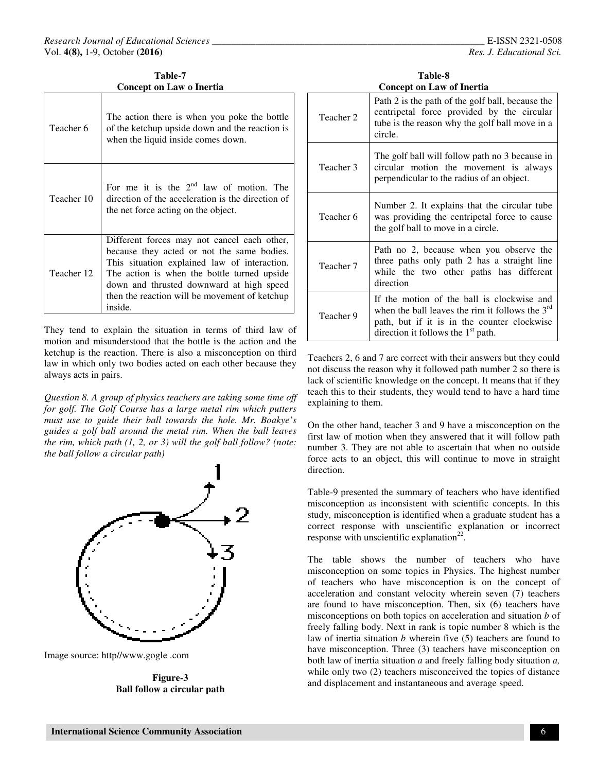**Table-7 Concept on Law o Inertia** 

| Teacher 6  | The action there is when you poke the bottle<br>of the ketchup upside down and the reaction is<br>when the liquid inside comes down.                                                                                                                                                             |
|------------|--------------------------------------------------------------------------------------------------------------------------------------------------------------------------------------------------------------------------------------------------------------------------------------------------|
| Teacher 10 | For me it is the $2nd$ law of motion. The<br>direction of the acceleration is the direction of<br>the net force acting on the object.                                                                                                                                                            |
| Teacher 12 | Different forces may not cancel each other,<br>because they acted or not the same bodies.<br>This situation explained law of interaction.<br>The action is when the bottle turned upside<br>down and thrusted downward at high speed<br>then the reaction will be movement of ketchup<br>inside. |

They tend to explain the situation in terms of third law of motion and misunderstood that the bottle is the action and the ketchup is the reaction. There is also a misconception on third law in which only two bodies acted on each other because they always acts in pairs.

*Question 8. A group of physics teachers are taking some time off for golf. The Golf Course has a large metal rim which putters must use to guide their ball towards the hole. Mr. Boakye's guides a golf ball around the metal rim. When the ball leaves the rim, which path (1, 2, or 3) will the golf ball follow? (note: the ball follow a circular path)* 



Image source: http//www.gogle .com

**Figure-3 Ball follow a circular path** 

| Table-8                          |
|----------------------------------|
| <b>Concept on Law of Inertia</b> |

| Teacher 2 | Path 2 is the path of the golf ball, because the<br>centripetal force provided by the circular<br>tube is the reason why the golf ball move in a<br>circle.                            |
|-----------|----------------------------------------------------------------------------------------------------------------------------------------------------------------------------------------|
| Teacher 3 | The golf ball will follow path no 3 because in<br>circular motion the movement is always<br>perpendicular to the radius of an object.                                                  |
| Teacher 6 | Number 2. It explains that the circular tube<br>was providing the centripetal force to cause<br>the golf ball to move in a circle.                                                     |
| Teacher 7 | Path no 2, because when you observe the<br>three paths only path 2 has a straight line<br>while the two other paths has different<br>direction                                         |
| Teacher 9 | If the motion of the ball is clockwise and<br>when the ball leaves the rim it follows the $3rd$<br>path, but if it is in the counter clockwise<br>direction it follows the $1st$ path. |

Teachers 2, 6 and 7 are correct with their answers but they could not discuss the reason why it followed path number 2 so there is lack of scientific knowledge on the concept. It means that if they teach this to their students, they would tend to have a hard time explaining to them.

On the other hand, teacher 3 and 9 have a misconception on the first law of motion when they answered that it will follow path number 3. They are not able to ascertain that when no outside force acts to an object, this will continue to move in straight direction.

Table-9 presented the summary of teachers who have identified misconception as inconsistent with scientific concepts. In this study, misconception is identified when a graduate student has a correct response with unscientific explanation or incorrect response with unscientific explanation<sup>22</sup>.

The table shows the number of teachers who have misconception on some topics in Physics. The highest number of teachers who have misconception is on the concept of acceleration and constant velocity wherein seven (7) teachers are found to have misconception. Then, six (6) teachers have misconceptions on both topics on acceleration and situation *b* of freely falling body. Next in rank is topic number 8 which is the law of inertia situation *b* wherein five (5) teachers are found to have misconception. Three (3) teachers have misconception on both law of inertia situation *a* and freely falling body situation *a,* while only two  $(2)$  teachers misconceived the topics of distance and displacement and instantaneous and average speed.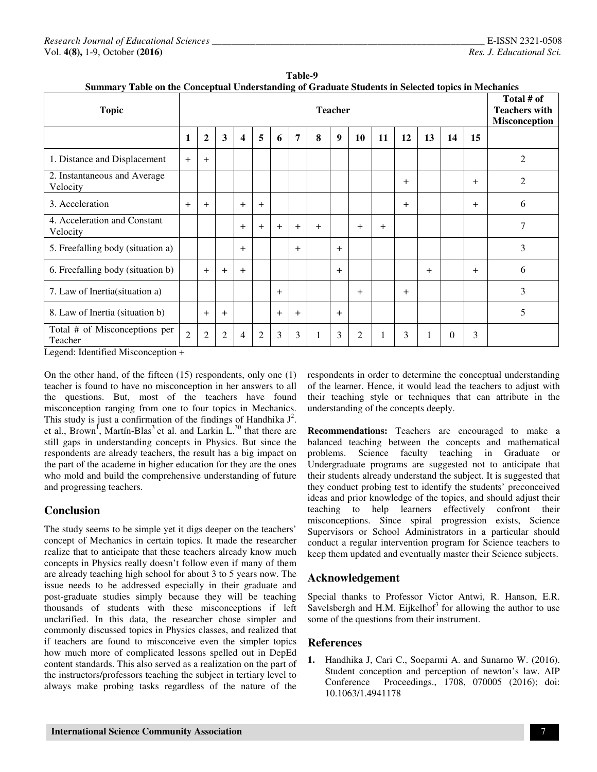| Summary Table on the Conceptual Understanding of Graduate Students in Selected topics in Mechanics |                |                |                |        |                |        |        |     |        |                |     |     |     |          |     |                                                            |
|----------------------------------------------------------------------------------------------------|----------------|----------------|----------------|--------|----------------|--------|--------|-----|--------|----------------|-----|-----|-----|----------|-----|------------------------------------------------------------|
| <b>Topic</b>                                                                                       | <b>Teacher</b> |                |                |        |                |        |        |     |        |                |     |     |     |          |     | Total # of<br><b>Teachers with</b><br><b>Misconception</b> |
|                                                                                                    | 1              | $\overline{2}$ | 3              | 4      | 5              | 6      | 7      | 8   | 9      | <b>10</b>      | 11  | 12  | 13  | 14       | 15  |                                                            |
| 1. Distance and Displacement                                                                       | $+$            | $+$            |                |        |                |        |        |     |        |                |     |     |     |          |     | 2                                                          |
| 2. Instantaneous and Average<br>Velocity                                                           |                |                |                |        |                |        |        |     |        |                |     | $+$ |     |          | $+$ | $\overline{2}$                                             |
| 3. Acceleration                                                                                    | $+$            | $+$            |                | $+$    | $+$            |        |        |     |        |                |     | $+$ |     |          | $+$ | 6                                                          |
| 4. Acceleration and Constant<br>Velocity                                                           |                |                |                | $+$    | $+$            | $+$    | $+$    | $+$ |        | $+$            | $+$ |     |     |          |     | 7                                                          |
| 5. Freefalling body (situation a)                                                                  |                |                |                | $^{+}$ |                |        | $^{+}$ |     | $^{+}$ |                |     |     |     |          |     | 3                                                          |
| 6. Freefalling body (situation b)                                                                  |                | $+$            | $+$            | $+$    |                |        |        |     | $^{+}$ |                |     |     | $+$ |          | $+$ | 6                                                          |
| 7. Law of Inertia (situation a)                                                                    |                |                |                |        |                | $^{+}$ |        |     |        | $^{+}$         |     | $+$ |     |          |     | 3                                                          |
| 8. Law of Inertia (situation b)                                                                    |                | $+$            | $+$            |        |                | $+$    | $+$    |     | $+$    |                |     |     |     |          |     | 5                                                          |
| Total # of Misconceptions per<br>Teacher<br>$1$ T $1$ $1$ $1$ $1$ $1$ $1$<br>$\sim$ $\sim$         | $\overline{2}$ | $\overline{2}$ | $\overline{2}$ | 4      | $\overline{2}$ | 3      | 3      |     | 3      | $\overline{2}$ |     | 3   | 1   | $\Omega$ | 3   |                                                            |

Table-9<br>**Table-9**<br>The action of G **Summary Table on the Conceptual Understanding of Graduate Students in Selected topics in Mechanics**

Legend: Identified Misconception +

On the other hand, of the fifteen (15) respondents, only one (1) teacher is found to have no misconception in her answers to all the questions. But, most of the teachers have found misconception ranging from one to four topics in Mechanics. This study is just a confirmation of the findings of Handhika  $J^2$ . et al., Brown<sup>1</sup>, Martín-Blas<sup>3</sup> et al. and Larkin  $L^{30}$  that there are still gaps in understanding concepts in Physics. But since the respondents are already teachers, the result has a big impact on the part of the academe in higher education for they are the ones who mold and build the comprehensive understanding of future and progressing teachers.

# **Conclusion**

The study seems to be simple yet it digs deeper on the teachers' concept of Mechanics in certain topics. It made the researcher realize that to anticipate that these teachers already know much concepts in Physics really doesn't follow even if many of them are already teaching high school for about 3 to 5 years now. The issue needs to be addressed especially in their graduate and post-graduate studies simply because they will be teaching thousands of students with these misconceptions if left unclarified. In this data, the researcher chose simpler and commonly discussed topics in Physics classes, and realized that if teachers are found to misconceive even the simpler topics how much more of complicated lessons spelled out in DepEd content standards. This also served as a realization on the part of the instructors/professors teaching the subject in tertiary level to always make probing tasks regardless of the nature of the

respondents in order to determine the conceptual understanding of the learner. Hence, it would lead the teachers to adjust with their teaching style or techniques that can attribute in the understanding of the concepts deeply.

**Recommendations:** Teachers are encouraged to make a balanced teaching between the concepts and mathematical problems. Science faculty teaching in Graduate or Undergraduate programs are suggested not to anticipate that their students already understand the subject. It is suggested that they conduct probing test to identify the students' preconceived ideas and prior knowledge of the topics, and should adjust their teaching to help learners effectively confront their misconceptions. Since spiral progression exists, Science Supervisors or School Administrators in a particular should conduct a regular intervention program for Science teachers to keep them updated and eventually master their Science subjects.

# **Acknowledgement**

Special thanks to Professor Victor Antwi, R. Hanson, E.R. Savelsbergh and H.M. Eijkelhof $3$  for allowing the author to use some of the questions from their instrument.

# **References**

**1.** Handhika J, Cari C., Soeparmi A. and Sunarno W. (2016). Student conception and perception of newton's law. AIP Conference Proceedings., 1708, 070005 (2016); doi: 10.1063/1.4941178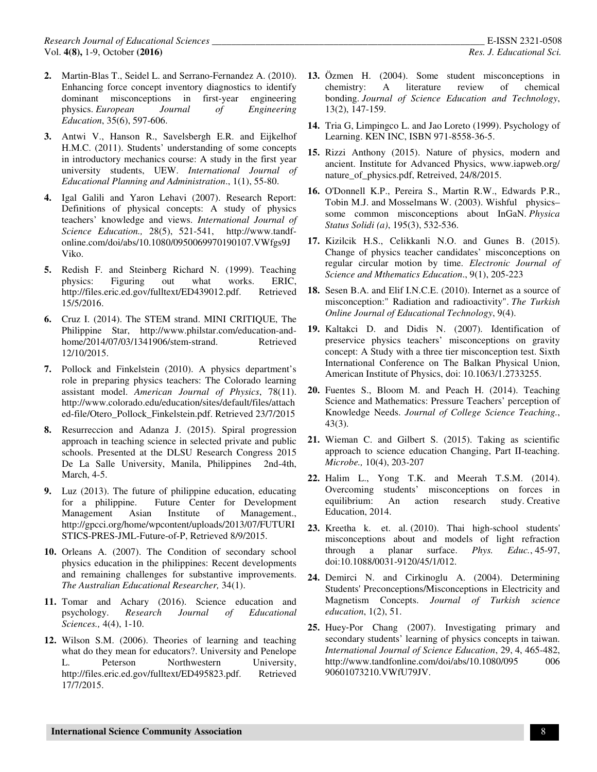- **2.** Martin-Blas T., Seidel L. and Serrano-Fernandez A. (2010). Enhancing force concept inventory diagnostics to identify dominant misconceptions in first-year engineering physics. *European Journal of Engineering Education*, 35(6), 597-606.
- **3.** Antwi V., Hanson R., Savelsbergh E.R. and Eijkelhof H.M.C. (2011). Students' understanding of some concepts in introductory mechanics course: A study in the first year university students, UEW. *International Journal of Educational Planning and Administration*., 1(1), 55-80.
- **4.** Igal Galili and Yaron Lehavi (2007). Research Report: Definitions of physical concepts: A study of physics teachers' knowledge and views. *International Journal of Science Education.,* 28(5), 521-541, http://www.tandfonline.com/doi/abs/10.1080/0950069970190107.VWfgs9J Viko.
- **5.** Redish F. and Steinberg Richard N. (1999). Teaching physics: Figuring out what works. ERIC, http://files.eric.ed.gov/fulltext/ED439012.pdf. Retrieved 15/5/2016.
- **6.** Cruz I. (2014). The STEM strand. MINI CRITIQUE, The Philippine Star, http://www.philstar.com/education-andhome/2014/07/03/1341906/stem-strand. Retrieved 12/10/2015.
- **7.** Pollock and Finkelstein (2010). A physics department's role in preparing physics teachers: The Colorado learning assistant model. *American Journal of Physics*, 78(11). http://www.colorado.edu/education/sites/default/files/attach ed-file/Otero\_Pollock\_Finkelstein.pdf. Retrieved 23/7/2015
- **8.** Resurreccion and Adanza J. (2015). Spiral progression approach in teaching science in selected private and public schools. Presented at the DLSU Research Congress 2015 De La Salle University, Manila, Philippines 2nd-4th, March, 4-5.
- **9.** Luz (2013). The future of philippine education, educating for a philippine. Future Center for Development Management Asian Institute of Management., http://gpcci.org/home/wpcontent/uploads/2013/07/FUTURI STICS-PRES-JML-Future-of-P, Retrieved 8/9/2015.
- **10.** Orleans A. (2007). The Condition of secondary school physics education in the philippines: Recent developments and remaining challenges for substantive improvements. *The Australian Educational Researcher,* 34(1).
- **11.** Tomar and Achary (2016). Science education and psychology. *Research Journal of Educational Sciences.,* 4(4), 1-10.
- **12.** Wilson S.M. (2006). Theories of learning and teaching what do they mean for educators?. University and Penelope L. Peterson Northwestern University, http://files.eric.ed.gov/fulltext/ED495823.pdf. Retrieved 17/7/2015.
- **13.** Özmen H. (2004). Some student misconceptions in chemistry: A literature review of chemical bonding. *Journal of Science Education and Technology*, 13(2), 147-159.
- **14.** Tria G, Limpingco L. and Jao Loreto (1999). Psychology of Learning. KEN INC, ISBN 971-8558-36-5.
- **15.** Rizzi Anthony (2015). Nature of physics, modern and ancient. Institute for Advanced Physics, www.iapweb.org/ nature of physics.pdf, Retreived, 24/8/2015.
- **16.** O'Donnell K.P., Pereira S., Martin R.W., Edwards P.R., Tobin M.J. and Mosselmans W. (2003). Wishful physics– some common misconceptions about InGaN. *Physica Status Solidi (a)*, 195(3), 532-536.
- **17.** Kizilcik H.S., Celikkanli N.O. and Gunes B. (2015). Change of physics teacher candidates' misconceptions on regular circular motion by time. *Electronic Journal of Science and Mthematics Education*., 9(1), 205-223
- **18.** Sesen B.A. and Elif I.N.C.E. (2010). Internet as a source of misconception:" Radiation and radioactivity". *The Turkish Online Journal of Educational Technology*, 9(4).
- **19.** Kaltakci D. and Didis N. (2007). Identification of preservice physics teachers' misconceptions on gravity concept: A Study with a three tier misconception test. Sixth International Conference on The Balkan Physical Union, American Institute of Physics, doi: 10.1063/1.2733255.
- **20.** Fuentes S., Bloom M. and Peach H. (2014). Teaching Science and Mathematics: Pressure Teachers' perception of Knowledge Needs. *Journal of College Science Teaching.*, 43(3).
- **21.** Wieman C. and Gilbert S. (2015). Taking as scientific approach to science education Changing, Part II-teaching. *Microbe.,* 10(4), 203-207
- **22.** Halim L., Yong T.K. and Meerah T.S.M. (2014). Overcoming students' misconceptions on forces in equilibrium: An action research study. Creative Education, 2014.
- **23.** Kreetha k. et. al. (2010). Thai high-school students' misconceptions about and models of light refraction through a planar surface. *Phys. Educ.*, 45-97, doi:10.1088/0031-9120/45/1/012.
- **24.** Demirci N. and Cirkinoglu A. (2004). Determining Students' Preconceptions/Misconceptions in Electricity and Magnetism Concepts. *Journal of Turkish science education*, 1(2), 51.
- **25.** Huey‐Por Chang (2007). Investigating primary and secondary students' learning of physics concepts in taiwan. *International Journal of Science Education*, 29, 4, 465-482, http://www.tandfonline.com/doi/abs/10.1080/095 006 90601073210.VWfU79JV.